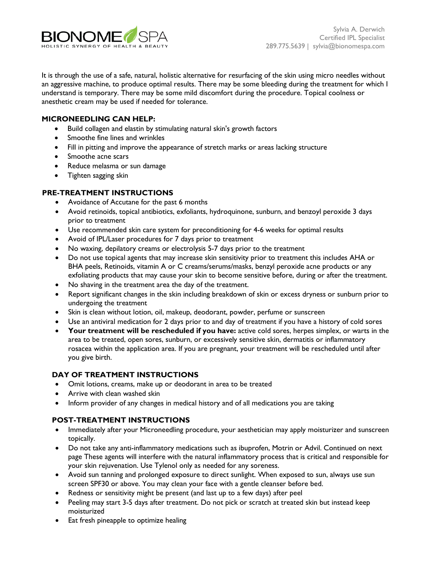

It is through the use of a safe, natural, holistic alternative for resurfacing of the skin using micro needles without an aggressive machine, to produce optimal results. There may be some bleeding during the treatment for which I understand is temporary. There may be some mild discomfort during the procedure. Topical coolness or anesthetic cream may be used if needed for tolerance.

## **MICRONEEDLING CAN HELP:**

- Build collagen and elastin by stimulating natural skin's growth factors
- Smoothe fine lines and wrinkles
- Fill in pitting and improve the appearance of stretch marks or areas lacking structure
- Smoothe acne scars
- Reduce melasma or sun damage
- Tighten sagging skin

## **PRE-TREATMENT INSTRUCTIONS**

- Avoidance of Accutane for the past 6 months
- Avoid retinoids, topical antibiotics, exfoliants, hydroquinone, sunburn, and benzoyl peroxide 3 days prior to treatment
- Use recommended skin care system for preconditioning for 4-6 weeks for optimal results
- Avoid of IPL/Laser procedures for 7 days prior to treatment
- No waxing, depilatory creams or electrolysis 5-7 days prior to the treatment
- Do not use topical agents that may increase skin sensitivity prior to treatment this includes AHA or BHA peels, Retinoids, vitamin A or C creams/serums/masks, benzyl peroxide acne products or any exfoliating products that may cause your skin to become sensitive before, during or after the treatment.
- No shaving in the treatment area the day of the treatment.
- Report significant changes in the skin including breakdown of skin or excess dryness or sunburn prior to undergoing the treatment
- Skin is clean without lotion, oil, makeup, deodorant, powder, perfume or sunscreen
- Use an antiviral medication for 2 days prior to and day of treatment if you have a history of cold sores
- **Your treatment will be rescheduled if you have:** active cold sores, herpes simplex, or warts in the area to be treated, open sores, sunburn, or excessively sensitive skin, dermatitis or inflammatory rosacea within the application area. If you are pregnant, your treatment will be rescheduled until after you give birth.

## **DAY OF TREATMENT INSTRUCTIONS**

- Omit lotions, creams, make up or deodorant in area to be treated
- Arrive with clean washed skin
- Inform provider of any changes in medical history and of all medications you are taking

## **POST-TREATMENT INSTRUCTIONS**

- Immediately after your Microneedling procedure, your aesthetician may apply moisturizer and sunscreen topically.
- Do not take any anti-inflammatory medications such as ibuprofen, Motrin or Advil. Continued on next page These agents will interfere with the natural inflammatory process that is critical and responsible for your skin rejuvenation. Use Tylenol only as needed for any soreness.
- Avoid sun tanning and prolonged exposure to direct sunlight. When exposed to sun, always use sun screen SPF30 or above. You may clean your face with a gentle cleanser before bed.
- Redness or sensitivity might be present (and last up to a few days) after peel
- Peeling may start 3-5 days after treatment. Do not pick or scratch at treated skin but instead keep moisturized
- Eat fresh pineapple to optimize healing